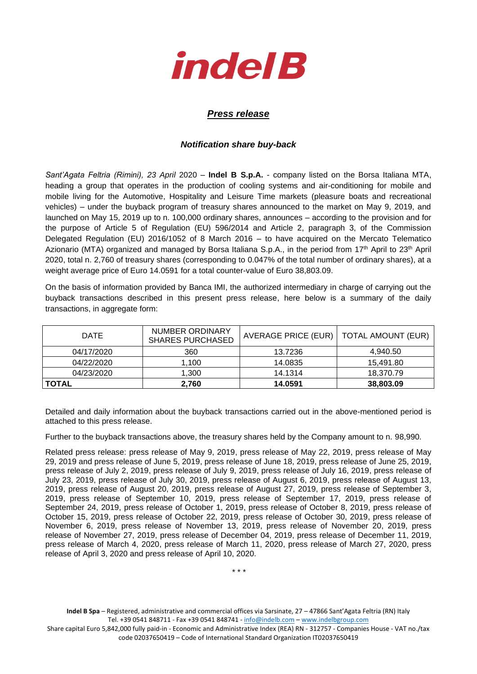

## *Press release*

## *Notification share buy-back*

*Sant'Agata Feltria (Rimini), 23 April* 2020 – **Indel B S.p.A.** - company listed on the Borsa Italiana MTA, heading a group that operates in the production of cooling systems and air-conditioning for mobile and mobile living for the Automotive, Hospitality and Leisure Time markets (pleasure boats and recreational vehicles) – under the buyback program of treasury shares announced to the market on May 9, 2019, and launched on May 15, 2019 up to n. 100,000 ordinary shares, announces – according to the provision and for the purpose of Article 5 of Regulation (EU) 596/2014 and Article 2, paragraph 3, of the Commission Delegated Regulation (EU) 2016/1052 of 8 March 2016 – to have acquired on the Mercato Telematico Azionario (MTA) organized and managed by Borsa Italiana S.p.A., in the period from 17<sup>th</sup> April to 23<sup>th</sup> April 2020, total n. 2,760 of treasury shares (corresponding to 0.047% of the total number of ordinary shares), at a weight average price of Euro 14.0591 for a total counter-value of Euro 38,803.09.

On the basis of information provided by Banca IMI, the authorized intermediary in charge of carrying out the buyback transactions described in this present press release, here below is a summary of the daily transactions, in aggregate form:

| <b>DATE</b>  | NUMBER ORDINARY<br><b>SHARES PURCHASED</b> | AVERAGE PRICE (EUR)   TOTAL AMOUNT (EUR) |           |  |
|--------------|--------------------------------------------|------------------------------------------|-----------|--|
| 04/17/2020   | 360                                        | 13.7236                                  | 4.940.50  |  |
| 04/22/2020   | 1.100                                      | 14.0835                                  | 15,491.80 |  |
| 04/23/2020   | 1.300                                      | 14.1314                                  | 18,370.79 |  |
| <b>TOTAL</b> | 2,760                                      | 14.0591                                  | 38,803.09 |  |

Detailed and daily information about the buyback transactions carried out in the above-mentioned period is attached to this press release.

Further to the buyback transactions above, the treasury shares held by the Company amount to n. 98,990.

Related press release: press release of May 9, 2019, press release of May 22, 2019, press release of May 29, 2019 and press release of June 5, 2019, press release of June 18, 2019, press release of June 25, 2019, press release of July 2, 2019, press release of July 9, 2019, press release of July 16, 2019, press release of July 23, 2019, press release of July 30, 2019, press release of August 6, 2019, press release of August 13, 2019, press release of August 20, 2019, press release of August 27, 2019, press release of September 3, 2019, press release of September 10, 2019, press release of September 17, 2019, press release of September 24, 2019, press release of October 1, 2019, press release of October 8, 2019, press release of October 15, 2019, press release of October 22, 2019, press release of October 30, 2019, press release of November 6, 2019, press release of November 13, 2019, press release of November 20, 2019, press release of November 27, 2019, press release of December 04, 2019, press release of December 11, 2019, press release of March 4, 2020, press release of March 11, 2020, press release of March 27, 2020, press release of April 3, 2020 and press release of April 10, 2020.

\* \* \*

**Indel B Spa** – Registered, administrative and commercial offices via Sarsinate, 27 – 47866 Sant'Agata Feltria (RN) Italy Tel. +39 0541 848711 - Fax +39 0541 848741 - [info@indelb.com](mailto:info@indelb.com) – [www.indelbgroup.com](http://www.indelbgroup.com/)

Share capital Euro 5,842,000 fully paid-in - Economic and Administrative Index (REA) RN - 312757 - Companies House - VAT no./tax code 02037650419 – Code of International Standard Organization IT02037650419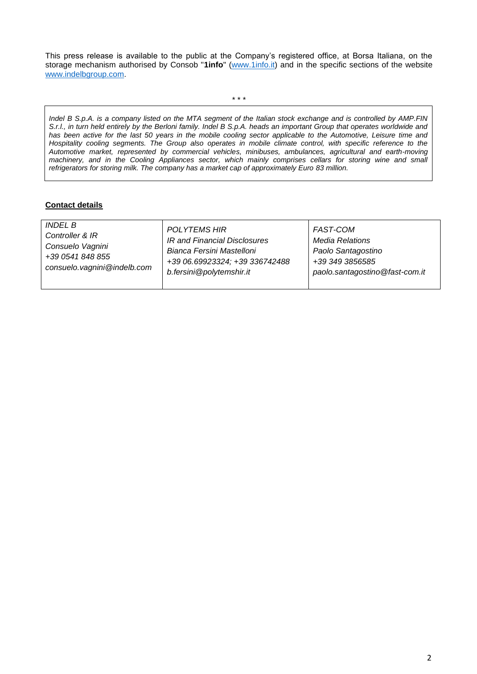This press release is available to the public at the Company's registered office, at Borsa Italiana, on the storage mechanism authorised by Consob "**1info**" [\(www.1info.it\)](file:///C:/Users/ddelietovollaro/AppData/Local/Microsoft/Windows/INetCache/Content.Outlook/T87B94UR/www.1info.it) and in the specific sections of the website [www.indelbgroup.com.](http://www.indelbgroup.com/)

\* \* \*

*Indel B S.p.A. is a company listed on the MTA segment of the Italian stock exchange and is controlled by AMP.FIN S.r.l., in turn held entirely by the Berloni family. Indel B S.p.A. heads an important Group that operates worldwide and*  has been active for the last 50 years in the mobile cooling sector applicable to the Automotive, Leisure time and *Hospitality cooling segments. The Group also operates in mobile climate control, with specific reference to the Automotive market, represented by commercial vehicles, minibuses, ambulances, agricultural and earth-moving machinery, and in the Cooling Appliances sector, which mainly comprises cellars for storing wine and small refrigerators for storing milk. The company has a market cap of approximately Euro 83 million.* 

## **Contact details**

| <i>INDEL B</i>              | <b>POLYTEMS HIR</b>            | <b>FAST-COM</b>                |
|-----------------------------|--------------------------------|--------------------------------|
| Controller & IR             | IR and Financial Disclosures   | Media Relations                |
| Consuelo Vagnini            | Bianca Fersini Mastelloni      | Paolo Santagostino             |
| +39 0541 848 855            | +39 06.69923324; +39 336742488 | +39 349 3856585                |
| consuelo.vagnini@indelb.com | b.fersini@polytemshir.it       | paolo.santagostino@fast-com.it |